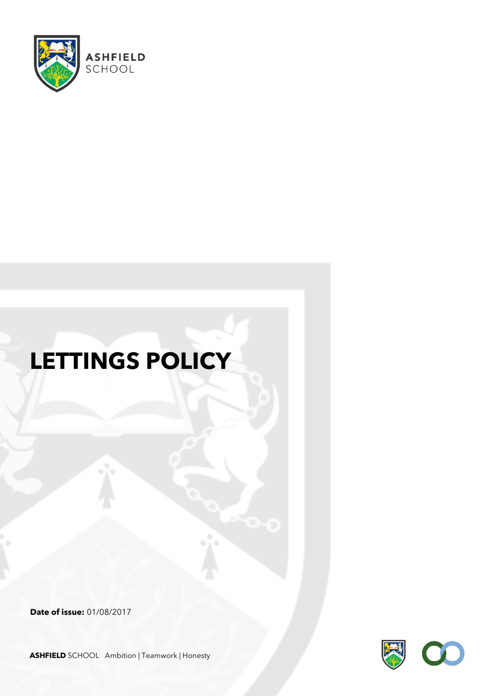

# **LETTINGS POLICY**

**Date of issue:** 01/08/2017



**ASHFIELD** SCHOOL Ambition | Teamwork | Honesty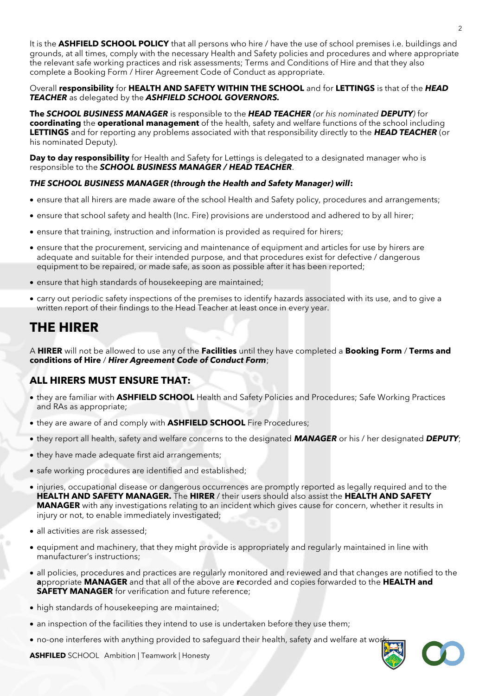It is the **ASHFIELD SCHOOL POLICY** that all persons who hire / have the use of school premises i.e. buildings and grounds, at all times, comply with the necessary Health and Safety policies and procedures and where appropriate the relevant safe working practices and risk assessments; Terms and Conditions of Hire and that they also complete a Booking Form / Hirer Agreement Code of Conduct as appropriate.

#### Overall **responsibility** for **HEALTH AND SAFETY WITHIN THE SCHOOL** and for **LETTINGS** is that of the *HEAD TEACHER* as delegated by the *ASHFIELD SCHOOL GOVERNORS.*

**The** *SCHOOL BUSINESS MANAGER* is responsible to the *HEAD TEACHER (or his nominated DEPUTY)* for **coordinating** the **operational management** of the health, safety and welfare functions of the school including **LETTINGS** and for reporting any problems associated with that responsibility directly to the *HEAD TEACHER* (or his nominated Deputy).

Day to day responsibility for Health and Safety for Lettings is delegated to a designated manager who is responsible to the *SCHOOL BUSINESS MANAGER / HEAD TEACHER*.

#### *THE SCHOOL BUSINESS MANAGER (through the Health and Safety Manager) will***:**

- ensure that all hirers are made aware of the school Health and Safety policy, procedures and arrangements;
- ensure that school safety and health (Inc. Fire) provisions are understood and adhered to by all hirer;
- ensure that training, instruction and information is provided as required for hirers;
- ensure that the procurement, servicing and maintenance of equipment and articles for use by hirers are adequate and suitable for their intended purpose, and that procedures exist for defective / dangerous equipment to be repaired, or made safe, as soon as possible after it has been reported;
- ensure that high standards of housekeeping are maintained;
- carry out periodic safety inspections of the premises to identify hazards associated with its use, and to give a written report of their findings to the Head Teacher at least once in every year.

## **THE HIRER**

A **HIRER** will not be allowed to use any of the **Facilities** until they have completed a **Booking Form** / **Terms and conditions of Hire** / *Hirer Agreement Code of Conduct Form*;

### **ALL HIRERS MUST ENSURE THAT:**

- they are familiar with **ASHFIELD SCHOOL** Health and Safety Policies and Procedures; Safe Working Practices and RAs as appropriate;
- they are aware of and comply with **ASHFIELD SCHOOL** Fire Procedures;
- they report all health, safety and welfare concerns to the designated *MANAGER* or his / her designated *DEPUTY*;
- they have made adequate first aid arrangements;
- safe working procedures are identified and established;
- injuries, occupational disease or dangerous occurrences are promptly reported as legally required and to the **HEALTH AND SAFETY MANAGER.** The **HIRER** / their users should also assist the **HEALTH AND SAFETY MANAGER** with any investigations relating to an incident which gives cause for concern, whether it results in injury or not, to enable immediately investigated;
- all activities are risk assessed;
- equipment and machinery, that they might provide is appropriately and regularly maintained in line with manufacturer's instructions;
- all policies, procedures and practices are regularly monitored and reviewed and that changes are notified to the **a**ppropriate **MANAGER** and that all of the above are **r**ecorded and copies forwarded to the **HEALTH and SAFETY MANAGER** for verification and future reference;
- high standards of housekeeping are maintained;
- an inspection of the facilities they intend to use is undertaken before they use them;
- no-one interferes with anything provided to safeguard their health, safety and welfare at wo



**ASHFILED** SCHOOL Ambition | Teamwork | Honesty